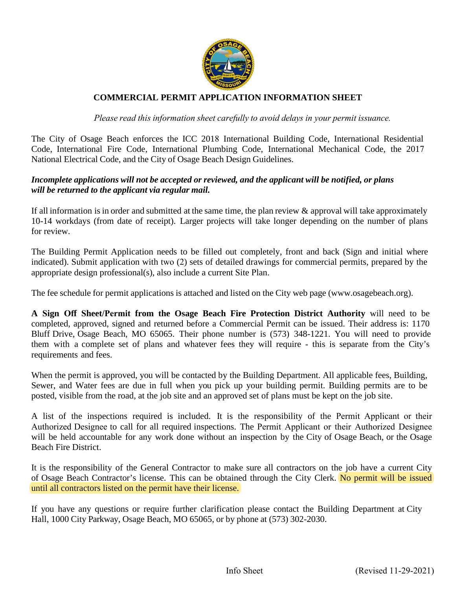

# **COMMERCIAL PERMIT APPLICATION INFORMATION SHEET**

*Please read this information sheet carefully to avoid delays in your permit issuance.* 

The City of Osage Beach enforces the ICC 2018 International Building Code, International Residential Code, International Fire Code, International Plumbing Code, International Mechanical Code, the 2017 National Electrical Code, and the City of Osage Beach Design Guidelines.

## *Incomplete applications will not be accepted or reviewed, and the applicant will be notified, or plans will be returned to the applicant via regular mail.*

If all information is in order and submitted at the same time, the plan review  $\&$  approval will take approximately 10-14 workdays (from date of receipt). Larger projects will take longer depending on the number of plans for review.

The Building Permit Application needs to be filled out completely, front and back (Sign and initial where indicated). Submit application with two (2) sets of detailed drawings for commercial permits, prepared by the appropriate design professional(s), also include a current Site Plan.

The fee schedule for permit applications is attached and listed on the City web page (www.osagebeach.org).

**A Sign Off Sheet/Permit from the Osage Beach Fire Protection District Authority** will need to be completed, approved, signed and returned before a Commercial Permit can be issued. Their address is: 1170 Bluff Drive, Osage Beach, MO 65065. Their phone number is (573) 348-1221. You will need to provide them with a complete set of plans and whatever fees they will require - this is separate from the City's requirements and fees.

When the permit is approved, you will be contacted by the Building Department. All applicable fees, Building, Sewer, and Water fees are due in full when you pick up your building permit. Building permits are to be posted, visible from the road, at the job site and an approved set of plans must be kept on the job site.

A list of the inspections required is included. It is the responsibility of the Permit Applicant or their Authorized Designee to call for all required inspections. The Permit Applicant or their Authorized Designee will be held accountable for any work done without an inspection by the City of Osage Beach, or the Osage Beach Fire District.

It is the responsibility of the General Contractor to make sure all contractors on the job have a current City of Osage Beach Contractor's license. This can be obtained through the City Clerk. No permit will be issued until all contractors listed on the permit have their license.

If you have any questions or require further clarification please contact the Building Department at City Hall, 1000 City Parkway, Osage Beach, MO 65065, or by phone at (573) 302-2030.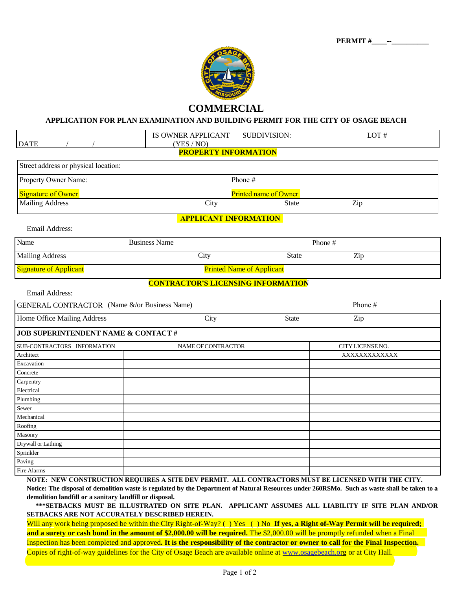

## **COMMERCIAL**

#### **APPLICATION FOR PLAN EXAMINATION AND BUILDING PERMIT FOR THE CITY OF OSAGE BEACH**

| <b>DATE</b>                                   | IS OWNER APPLICANT<br>(YES / NO)          | <b>SUBDIVISION:</b> | LOT#                                                                                               |  |  |  |  |  |  |
|-----------------------------------------------|-------------------------------------------|---------------------|----------------------------------------------------------------------------------------------------|--|--|--|--|--|--|
|                                               | <b>PROPERTY INFORMATION</b>               |                     |                                                                                                    |  |  |  |  |  |  |
| Street address or physical location:          |                                           |                     |                                                                                                    |  |  |  |  |  |  |
| Property Owner Name:                          |                                           | Phone #             |                                                                                                    |  |  |  |  |  |  |
| <b>Signature of Owner</b>                     | <b>Printed name of Owner</b>              |                     |                                                                                                    |  |  |  |  |  |  |
| <b>Mailing Address</b>                        | City                                      | <b>State</b>        | Zip                                                                                                |  |  |  |  |  |  |
|                                               | <b>APPLICANT INFORMATION</b>              |                     |                                                                                                    |  |  |  |  |  |  |
| Email Address:                                |                                           |                     |                                                                                                    |  |  |  |  |  |  |
| Name                                          | <b>Business Name</b>                      |                     | Phone#                                                                                             |  |  |  |  |  |  |
| <b>Mailing Address</b>                        | City                                      | <b>State</b>        | Zip                                                                                                |  |  |  |  |  |  |
| <b>Signature of Applicant</b>                 | <b>Printed Name of Applicant</b>          |                     |                                                                                                    |  |  |  |  |  |  |
|                                               | <b>CONTRACTOR'S LICENSING INFORMATION</b> |                     |                                                                                                    |  |  |  |  |  |  |
| Email Address:                                |                                           |                     |                                                                                                    |  |  |  |  |  |  |
| GENERAL CONTRACTOR (Name &/or Business Name)  |                                           | Phone #             |                                                                                                    |  |  |  |  |  |  |
| Home Office Mailing Address                   | City                                      | <b>State</b>        | Zip                                                                                                |  |  |  |  |  |  |
| <b>JOB SUPERINTENDENT NAME &amp; CONTACT#</b> |                                           |                     |                                                                                                    |  |  |  |  |  |  |
| SUB-CONTRACTORS INFORMATION                   | NAME OF CONTRACTOR                        |                     | CITY LICENSE NO.                                                                                   |  |  |  |  |  |  |
| Architect                                     |                                           |                     | XXXXXXXXXXXXX                                                                                      |  |  |  |  |  |  |
| Excavation                                    |                                           |                     |                                                                                                    |  |  |  |  |  |  |
| Concrete                                      |                                           |                     |                                                                                                    |  |  |  |  |  |  |
| Carpentry                                     |                                           |                     |                                                                                                    |  |  |  |  |  |  |
| Electrical                                    |                                           |                     |                                                                                                    |  |  |  |  |  |  |
| Plumbing                                      |                                           |                     |                                                                                                    |  |  |  |  |  |  |
| Sewer                                         |                                           |                     |                                                                                                    |  |  |  |  |  |  |
| Mechanical                                    |                                           |                     |                                                                                                    |  |  |  |  |  |  |
| $\overline{\text{Roofing}}$                   |                                           |                     |                                                                                                    |  |  |  |  |  |  |
| Masonry                                       |                                           |                     |                                                                                                    |  |  |  |  |  |  |
| Drywall or Lathing                            |                                           |                     |                                                                                                    |  |  |  |  |  |  |
| Sprinkler                                     |                                           |                     |                                                                                                    |  |  |  |  |  |  |
| Paving                                        |                                           |                     |                                                                                                    |  |  |  |  |  |  |
| Fire Alarms                                   |                                           |                     |                                                                                                    |  |  |  |  |  |  |
|                                               |                                           |                     | NOTE: NEW CONSTRUCTION REOUIRES A SITE DEV PERMIT. ALL CONTRACTORS MUST BE LICENSED WITH THE CITY. |  |  |  |  |  |  |

**Notice: The disposal of demolition waste is regulated by the Department of Natural Resources under 260RSMo. Such as waste shall be taken to a demolition landfill or a sanitary landfill or disposal.** 

 **\*\*\*SETBACKS MUST BE ILLUSTRATED ON SITE PLAN. APPLICANT ASSUMES ALL LIABILITY IF SITE PLAN AND/OR SETBACKS ARE NOT ACCURATELY DESCRIBED HEREIN.**

Will any work being proposed be within the City Right-of-Way? ( ) Yes ( ) No **If yes, a Right of-Way Permit will be required; and a surety or cash bond in the amount of \$2,000.00 will be required.** The \$2,000.00 will be promptly refunded when a Final Inspection has been completed and approved**. It is the responsibility of the contractor or owner to call for the Final Inspection.** Copies of right-of-way guidelines for the City of Osage Beach are [available online at](http://www.osagebeach.org/) www.osagebeach.org or at City Hall.